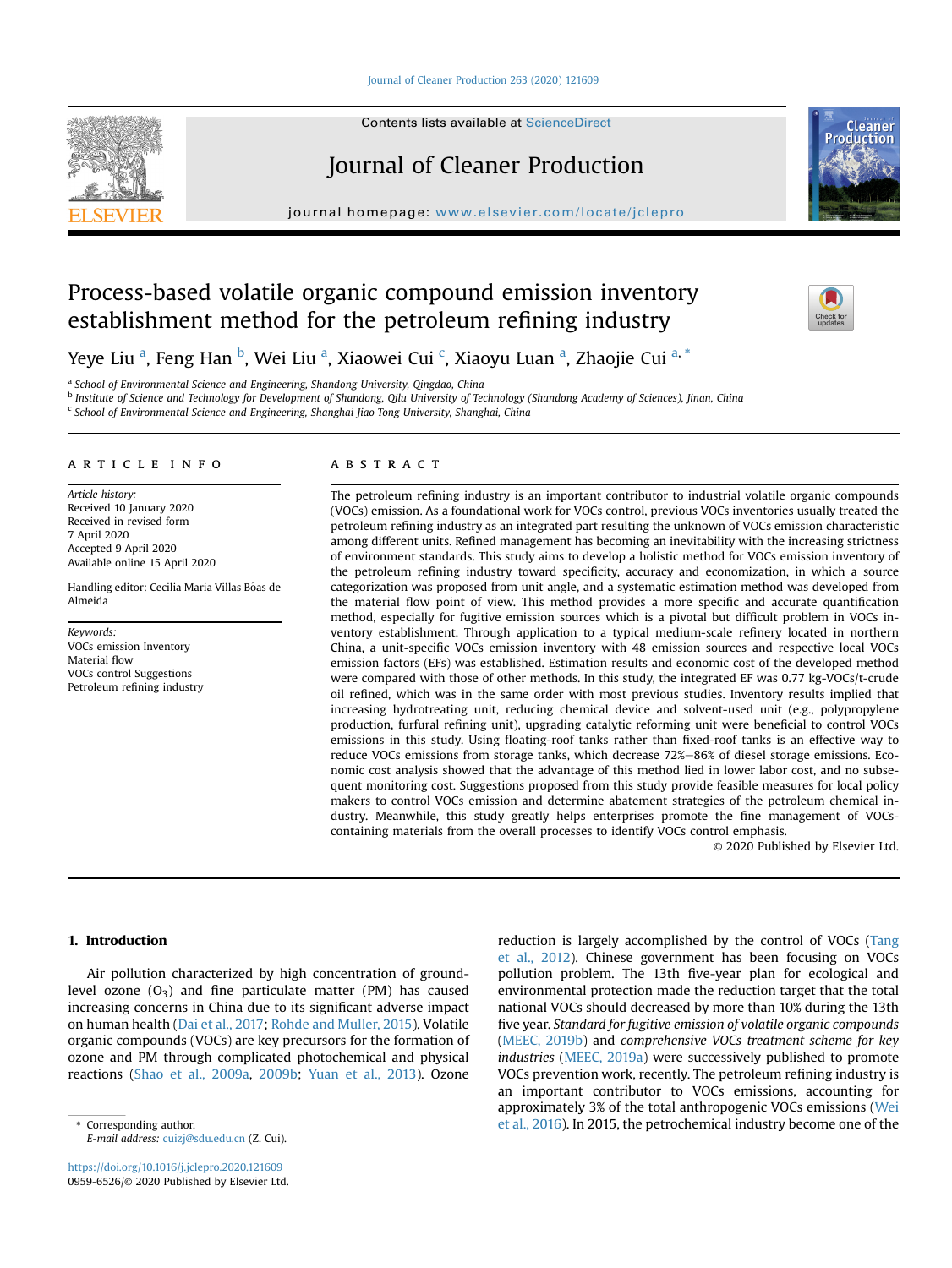#### [Journal of Cleaner Production 263 \(2020\) 121609](https://doi.org/10.1016/j.jclepro.2020.121609)

Contents lists available at ScienceDirect

# Journal of Cleaner Production

journal homepage: [www.elsevier.com/locate/jclepro](http://www.elsevier.com/locate/jclepro)

# Process-based volatile organic compound emission inventory establishment method for the petroleum refining industry

Yeye Liu <sup>[a](#page-0-0)</sup>, Feng Han <sup>[b](#page-0-1)</sup>, Wei Liu <sup>a</sup>, Xiaowei Cui <sup>[c](#page-0-2)</sup>, Xiaoyu Luan <sup>a</sup>, Zhaojie Cui <sup>a, [\\*](#page-0-3)</sup>

<span id="page-0-0"></span><sup>a</sup> School of Environmental Science and Engineering, Shandong University, Qingdao, China

<span id="page-0-1"></span><sup>b</sup> Institute of Science and Technology for Development of Shandong, Qilu University of Technology (Shandong Academy of Sciences), Jinan, China

<span id="page-0-2"></span><sup>c</sup> School of Environmental Science and Engineering, Shanghai Jiao Tong University, Shanghai, China

#### article info

Article history: Received 10 January 2020 Received in revised form 7 April 2020 Accepted 9 April 2020 Available online 15 April 2020

Handling editor: Cecilia Maria Villas Bôas de Almeida

Keywords: VOCs emission Inventory Material flow VOCs control Suggestions Petroleum refining industry

# **ABSTRACT**

The petroleum refining industry is an important contributor to industrial volatile organic compounds (VOCs) emission. As a foundational work for VOCs control, previous VOCs inventories usually treated the petroleum refining industry as an integrated part resulting the unknown of VOCs emission characteristic among different units. Refined management has becoming an inevitability with the increasing strictness of environment standards. This study aims to develop a holistic method for VOCs emission inventory of the petroleum refining industry toward specificity, accuracy and economization, in which a source categorization was proposed from unit angle, and a systematic estimation method was developed from the material flow point of view. This method provides a more specific and accurate quantification method, especially for fugitive emission sources which is a pivotal but difficult problem in VOCs inventory establishment. Through application to a typical medium-scale refinery located in northern China, a unit-specific VOCs emission inventory with 48 emission sources and respective local VOCs emission factors (EFs) was established. Estimation results and economic cost of the developed method were compared with those of other methods. In this study, the integrated EF was 0.77 kg-VOCs/t-crude oil refined, which was in the same order with most previous studies. Inventory results implied that increasing hydrotreating unit, reducing chemical device and solvent-used unit (e.g., polypropylene production, furfural refining unit), upgrading catalytic reforming unit were beneficial to control VOCs emissions in this study. Using floating-roof tanks rather than fixed-roof tanks is an effective way to reduce VOCs emissions from storage tanks, which decrease 72%-86% of diesel storage emissions. Economic cost analysis showed that the advantage of this method lied in lower labor cost, and no subsequent monitoring cost. Suggestions proposed from this study provide feasible measures for local policy makers to control VOCs emission and determine abatement strategies of the petroleum chemical industry. Meanwhile, this study greatly helps enterprises promote the fine management of VOCscontaining materials from the overall processes to identify VOCs control emphasis.

© 2020 Published by Elsevier Ltd.

# 1. Introduction

Air pollution characterized by high concentration of groundlevel ozone  $(O_3)$  and fine particulate matter (PM) has caused increasing concerns in China due to its significant adverse impact on human health [\(Dai et al., 2017](#page-9-0); [Rohde and Muller, 2015\)](#page-9-1). Volatile organic compounds (VOCs) are key precursors for the formation of ozone and PM through complicated photochemical and physical reactions [\(Shao et al., 2009a](#page-9-2), [2009b](#page-9-3); [Yuan et al., 2013\)](#page-9-4). Ozone

<span id="page-0-3"></span>E-mail address: [cuizj@sdu.edu.cn](mailto:cuizj@sdu.edu.cn) (Z. Cui).

<https://doi.org/10.1016/j.jclepro.2020.121609> 0959-6526/© 2020 Published by Elsevier Ltd.

reduction is largely accomplished by the control of VOCs ([Tang](#page-9-5) [et al., 2012\)](#page-9-5). Chinese government has been focusing on VOCs pollution problem. The 13th five-year plan for ecological and environmental protection made the reduction target that the total national VOCs should decreased by more than 10% during the 13th five year. Standard for fugitive emission of volatile organic compounds ([MEEC, 2019b\)](#page-9-6) and comprehensive VOCs treatment scheme for key industries [\(MEEC, 2019a](#page-9-7)) were successively published to promote VOCs prevention work, recently. The petroleum refining industry is an important contributor to VOCs emissions, accounting for approximately 3% of the total anthropogenic VOCs emissions ([Wei](#page-9-8) Express Corresponding author. [et al., 2016](#page-9-8)). In 2015, the petrochemical industry become one of the





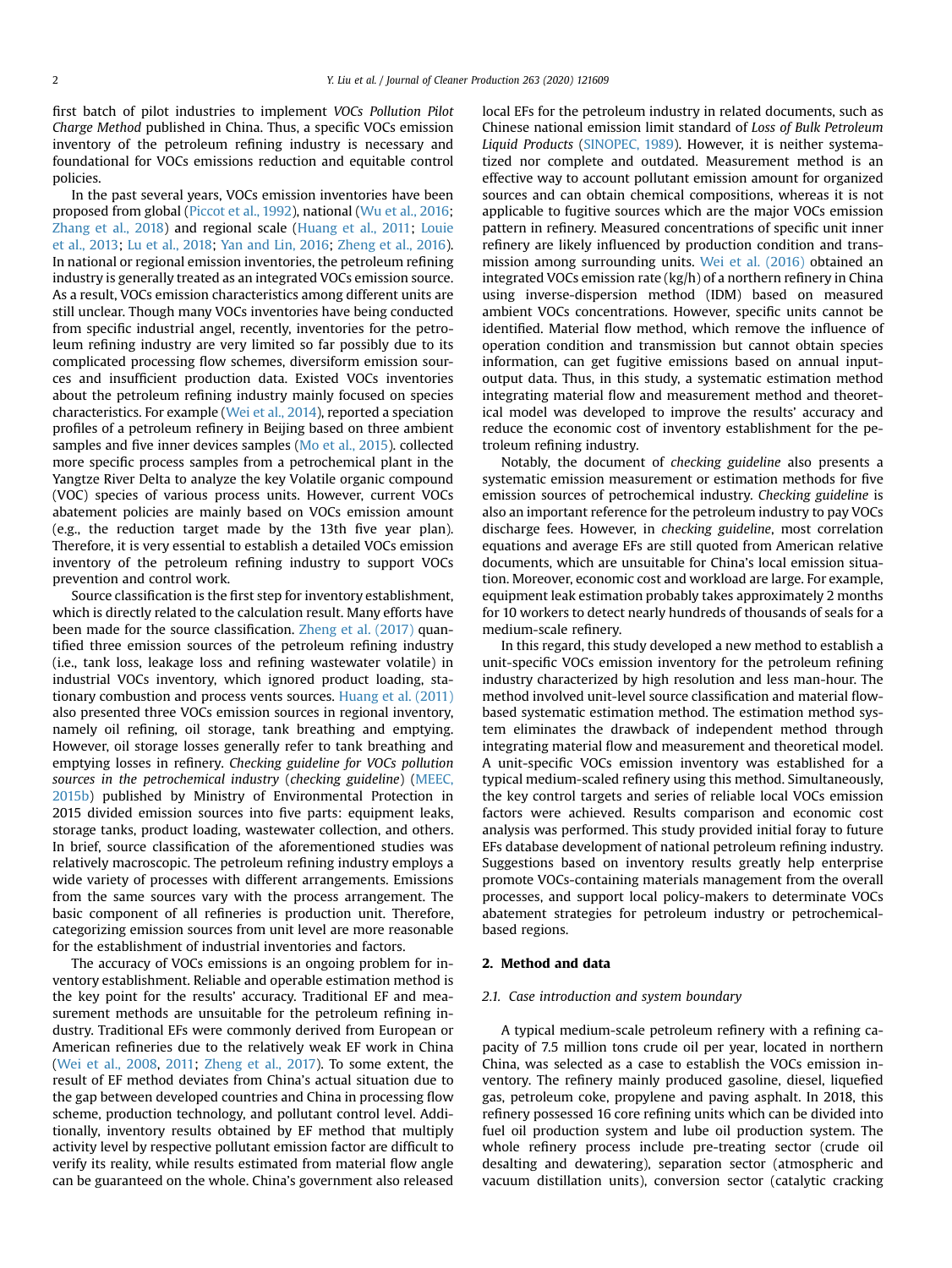first batch of pilot industries to implement VOCs Pollution Pilot Charge Method published in China. Thus, a specific VOCs emission inventory of the petroleum refining industry is necessary and foundational for VOCs emissions reduction and equitable control policies.

In the past several years, VOCs emission inventories have been proposed from global [\(Piccot et al., 1992\)](#page-9-9), national ([Wu et al., 2016](#page-9-10); [Zhang et al., 2018\)](#page-9-11) and regional scale [\(Huang et al., 2011](#page-9-12); [Louie](#page-9-13) [et al., 2013](#page-9-13); [Lu et al., 2018;](#page-9-14) [Yan and Lin, 2016;](#page-9-15) [Zheng et al., 2016\)](#page-9-16). In national or regional emission inventories, the petroleum refining industry is generally treated as an integrated VOCs emission source. As a result, VOCs emission characteristics among different units are still unclear. Though many VOCs inventories have being conducted from specific industrial angel, recently, inventories for the petroleum refining industry are very limited so far possibly due to its complicated processing flow schemes, diversiform emission sources and insufficient production data. Existed VOCs inventories about the petroleum refining industry mainly focused on species characteristics. For example ([Wei et al., 2014](#page-9-17)), reported a speciation profiles of a petroleum refinery in Beijing based on three ambient samples and five inner devices samples [\(Mo et al., 2015\)](#page-9-18). collected more specific process samples from a petrochemical plant in the Yangtze River Delta to analyze the key Volatile organic compound (VOC) species of various process units. However, current VOCs abatement policies are mainly based on VOCs emission amount (e.g., the reduction target made by the 13th five year plan). Therefore, it is very essential to establish a detailed VOCs emission inventory of the petroleum refining industry to support VOCs prevention and control work.

Source classification is the first step for inventory establishment, which is directly related to the calculation result. Many efforts have been made for the source classification. [Zheng et al. \(2017\)](#page-9-19) quantified three emission sources of the petroleum refining industry (i.e., tank loss, leakage loss and refining wastewater volatile) in industrial VOCs inventory, which ignored product loading, stationary combustion and process vents sources. [Huang et al. \(2011\)](#page-9-12) also presented three VOCs emission sources in regional inventory, namely oil refining, oil storage, tank breathing and emptying. However, oil storage losses generally refer to tank breathing and emptying losses in refinery. Checking guideline for VOCs pollution sources in the petrochemical industry (checking guideline) [\(MEEC,](#page-9-20) [2015b\)](#page-9-20) published by Ministry of Environmental Protection in 2015 divided emission sources into five parts: equipment leaks, storage tanks, product loading, wastewater collection, and others. In brief, source classification of the aforementioned studies was relatively macroscopic. The petroleum refining industry employs a wide variety of processes with different arrangements. Emissions from the same sources vary with the process arrangement. The basic component of all refineries is production unit. Therefore, categorizing emission sources from unit level are more reasonable for the establishment of industrial inventories and factors.

The accuracy of VOCs emissions is an ongoing problem for inventory establishment. Reliable and operable estimation method is the key point for the results' accuracy. Traditional EF and measurement methods are unsuitable for the petroleum refining industry. Traditional EFs were commonly derived from European or American refineries due to the relatively weak EF work in China ([Wei et al., 2008](#page-9-21), [2011;](#page-9-22) [Zheng et al., 2017\)](#page-9-19). To some extent, the result of EF method deviates from China's actual situation due to the gap between developed countries and China in processing flow scheme, production technology, and pollutant control level. Additionally, inventory results obtained by EF method that multiply activity level by respective pollutant emission factor are difficult to verify its reality, while results estimated from material flow angle can be guaranteed on the whole. China's government also released local EFs for the petroleum industry in related documents, such as Chinese national emission limit standard of Loss of Bulk Petroleum Liquid Products [\(SINOPEC, 1989\)](#page-9-23). However, it is neither systematized nor complete and outdated. Measurement method is an effective way to account pollutant emission amount for organized sources and can obtain chemical compositions, whereas it is not applicable to fugitive sources which are the major VOCs emission pattern in refinery. Measured concentrations of specific unit inner refinery are likely influenced by production condition and transmission among surrounding units. [Wei et al. \(2016\)](#page-9-8) obtained an integrated VOCs emission rate (kg/h) of a northern refinery in China using inverse-dispersion method (IDM) based on measured ambient VOCs concentrations. However, specific units cannot be identified. Material flow method, which remove the influence of operation condition and transmission but cannot obtain species information, can get fugitive emissions based on annual inputoutput data. Thus, in this study, a systematic estimation method integrating material flow and measurement method and theoretical model was developed to improve the results' accuracy and reduce the economic cost of inventory establishment for the petroleum refining industry.

Notably, the document of checking guideline also presents a systematic emission measurement or estimation methods for five emission sources of petrochemical industry. Checking guideline is also an important reference for the petroleum industry to pay VOCs discharge fees. However, in checking guideline, most correlation equations and average EFs are still quoted from American relative documents, which are unsuitable for China's local emission situation. Moreover, economic cost and workload are large. For example, equipment leak estimation probably takes approximately 2 months for 10 workers to detect nearly hundreds of thousands of seals for a medium-scale refinery.

In this regard, this study developed a new method to establish a unit-specific VOCs emission inventory for the petroleum refining industry characterized by high resolution and less man-hour. The method involved unit-level source classification and material flowbased systematic estimation method. The estimation method system eliminates the drawback of independent method through integrating material flow and measurement and theoretical model. A unit-specific VOCs emission inventory was established for a typical medium-scaled refinery using this method. Simultaneously, the key control targets and series of reliable local VOCs emission factors were achieved. Results comparison and economic cost analysis was performed. This study provided initial foray to future EFs database development of national petroleum refining industry. Suggestions based on inventory results greatly help enterprise promote VOCs-containing materials management from the overall processes, and support local policy-makers to determinate VOCs abatement strategies for petroleum industry or petrochemicalbased regions.

# 2. Method and data

#### 2.1. Case introduction and system boundary

A typical medium-scale petroleum refinery with a refining capacity of 7.5 million tons crude oil per year, located in northern China, was selected as a case to establish the VOCs emission inventory. The refinery mainly produced gasoline, diesel, liquefied gas, petroleum coke, propylene and paving asphalt. In 2018, this refinery possessed 16 core refining units which can be divided into fuel oil production system and lube oil production system. The whole refinery process include pre-treating sector (crude oil desalting and dewatering), separation sector (atmospheric and vacuum distillation units), conversion sector (catalytic cracking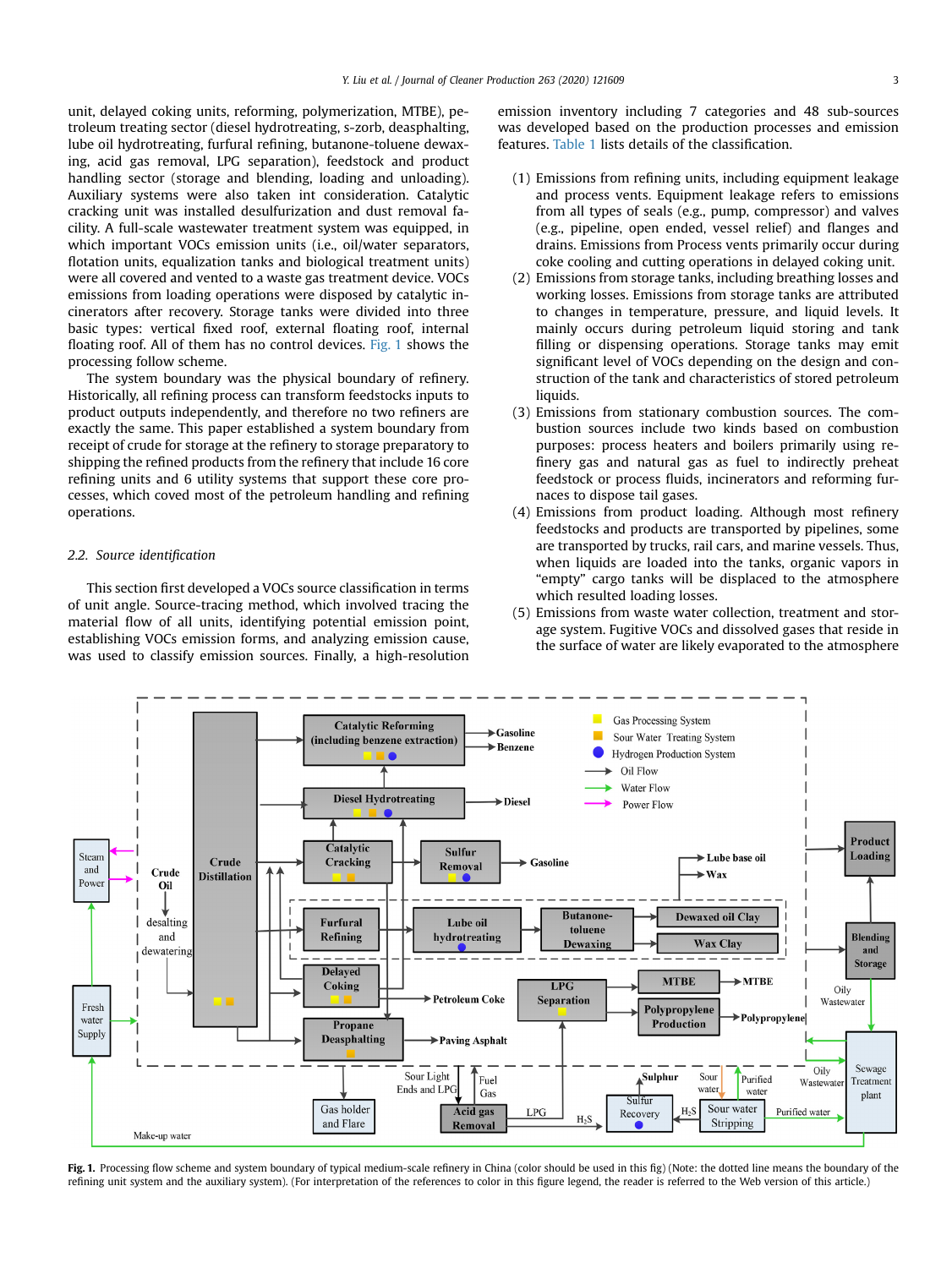unit, delayed coking units, reforming, polymerization, MTBE), petroleum treating sector (diesel hydrotreating, s-zorb, deasphalting, lube oil hydrotreating, furfural refining, butanone-toluene dewaxing, acid gas removal, LPG separation), feedstock and product handling sector (storage and blending, loading and unloading). Auxiliary systems were also taken int consideration. Catalytic cracking unit was installed desulfurization and dust removal facility. A full-scale wastewater treatment system was equipped, in which important VOCs emission units (i.e., oil/water separators, flotation units, equalization tanks and biological treatment units) were all covered and vented to a waste gas treatment device. VOCs emissions from loading operations were disposed by catalytic incinerators after recovery. Storage tanks were divided into three basic types: vertical fixed roof, external floating roof, internal floating roof. All of them has no control devices. [Fig. 1](#page-2-0) shows the processing follow scheme.

The system boundary was the physical boundary of refinery. Historically, all refining process can transform feedstocks inputs to product outputs independently, and therefore no two refiners are exactly the same. This paper established a system boundary from receipt of crude for storage at the refinery to storage preparatory to shipping the refined products from the refinery that include 16 core refining units and 6 utility systems that support these core processes, which coved most of the petroleum handling and refining operations.

# 2.2. Source identification

This section first developed a VOCs source classification in terms of unit angle. Source-tracing method, which involved tracing the material flow of all units, identifying potential emission point, establishing VOCs emission forms, and analyzing emission cause, was used to classify emission sources. Finally, a high-resolution

emission inventory including 7 categories and 48 sub-sources was developed based on the production processes and emission features. [Table 1](#page-3-0) lists details of the classification.

- (1) Emissions from refining units, including equipment leakage and process vents. Equipment leakage refers to emissions from all types of seals (e.g., pump, compressor) and valves (e.g., pipeline, open ended, vessel relief) and flanges and drains. Emissions from Process vents primarily occur during coke cooling and cutting operations in delayed coking unit.
- (2) Emissions from storage tanks, including breathing losses and working losses. Emissions from storage tanks are attributed to changes in temperature, pressure, and liquid levels. It mainly occurs during petroleum liquid storing and tank filling or dispensing operations. Storage tanks may emit significant level of VOCs depending on the design and construction of the tank and characteristics of stored petroleum liquids.
- (3) Emissions from stationary combustion sources. The combustion sources include two kinds based on combustion purposes: process heaters and boilers primarily using refinery gas and natural gas as fuel to indirectly preheat feedstock or process fluids, incinerators and reforming furnaces to dispose tail gases.
- (4) Emissions from product loading. Although most refinery feedstocks and products are transported by pipelines, some are transported by trucks, rail cars, and marine vessels. Thus, when liquids are loaded into the tanks, organic vapors in "empty" cargo tanks will be displaced to the atmosphere which resulted loading losses.
- (5) Emissions from waste water collection, treatment and storage system. Fugitive VOCs and dissolved gases that reside in the surface of water are likely evaporated to the atmosphere

<span id="page-2-0"></span>

Fig. 1. Processing flow scheme and system boundary of typical medium-scale refinery in China (color should be used in this fig) (Note: the dotted line means the boundary of the refining unit system and the auxiliary system). (For interpretation of the references to color in this figure legend, the reader is referred to the Web version of this article.)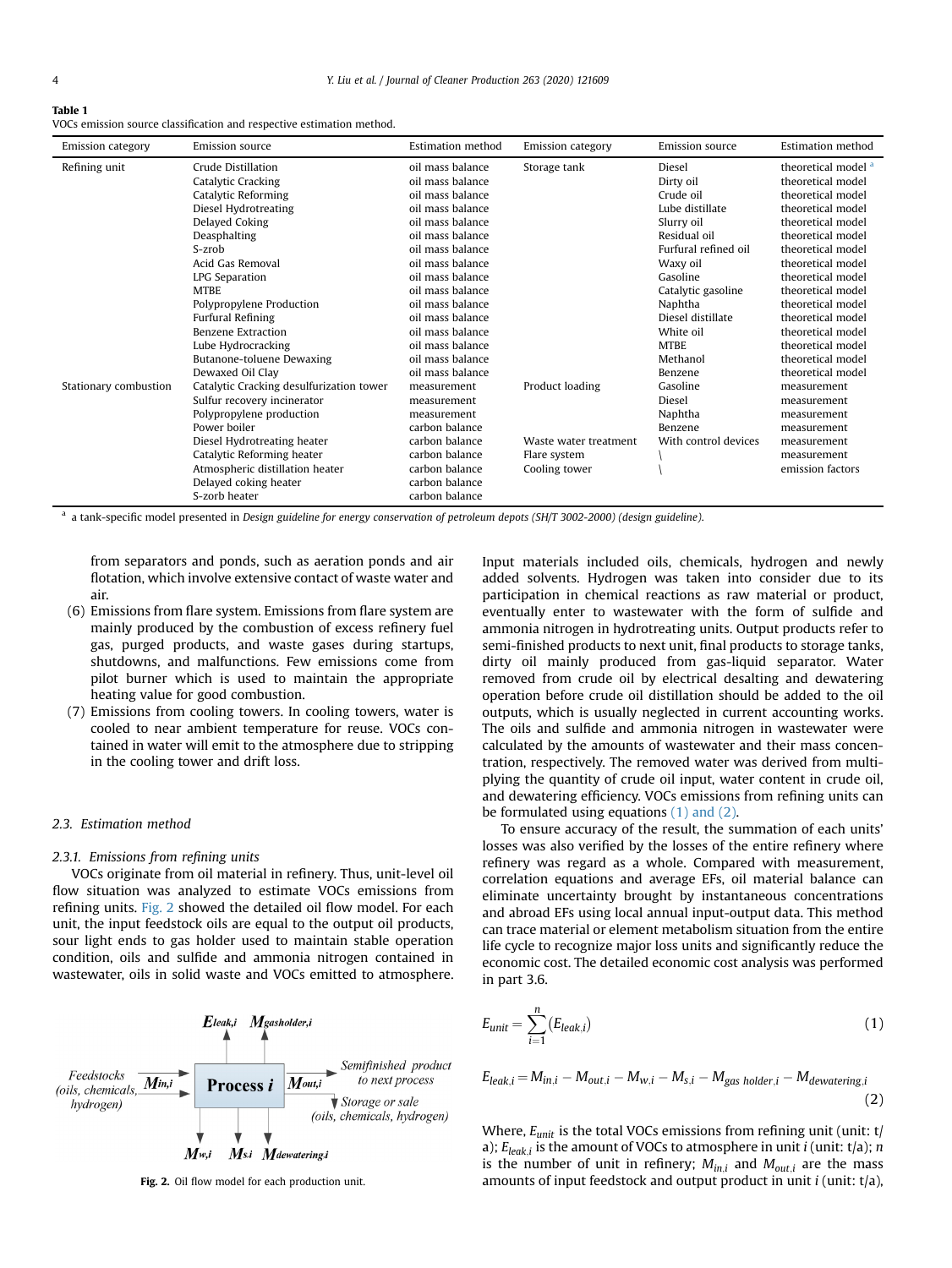#### <span id="page-3-0"></span>Table 1

VOCs emission source classification and respective estimation method.

| Emission category     | <b>Emission source</b>                                                                                                                                                                                                                                                                                         | Estimation method                                                                                                                                                                                                                                                                    | Emission category                                                         | <b>Emission source</b>                                                                                                                                                                                                     | Estimation method                                                                                                                                                                                                                                                                                    |
|-----------------------|----------------------------------------------------------------------------------------------------------------------------------------------------------------------------------------------------------------------------------------------------------------------------------------------------------------|--------------------------------------------------------------------------------------------------------------------------------------------------------------------------------------------------------------------------------------------------------------------------------------|---------------------------------------------------------------------------|----------------------------------------------------------------------------------------------------------------------------------------------------------------------------------------------------------------------------|------------------------------------------------------------------------------------------------------------------------------------------------------------------------------------------------------------------------------------------------------------------------------------------------------|
| Refining unit         | Crude Distillation<br>Catalytic Cracking<br>Catalytic Reforming<br>Diesel Hydrotreating<br>Delayed Coking<br>Deasphalting<br>S-zrob<br>Acid Gas Removal<br>LPG Separation<br><b>MTBE</b><br>Polypropylene Production<br>Furfural Refining<br><b>Benzene Extraction</b><br>Lube Hydrocracking                   | oil mass balance<br>oil mass balance<br>oil mass balance<br>oil mass balance<br>oil mass balance<br>oil mass balance<br>oil mass balance<br>oil mass balance<br>oil mass balance<br>oil mass balance<br>oil mass balance<br>oil mass balance<br>oil mass balance<br>oil mass balance | Storage tank                                                              | <b>Diesel</b><br>Dirty oil<br>Crude oil<br>Lube distillate<br>Slurry oil<br>Residual oil<br>Furfural refined oil<br>Waxy oil<br>Gasoline<br>Catalytic gasoline<br>Naphtha<br>Diesel distillate<br>White oil<br><b>MTBE</b> | theoretical model a<br>theoretical model<br>theoretical model<br>theoretical model<br>theoretical model<br>theoretical model<br>theoretical model<br>theoretical model<br>theoretical model<br>theoretical model<br>theoretical model<br>theoretical model<br>theoretical model<br>theoretical model |
| Stationary combustion | Butanone-toluene Dewaxing<br>Dewaxed Oil Clay<br>Catalytic Cracking desulfurization tower<br>Sulfur recovery incinerator<br>Polypropylene production<br>Power boiler<br>Diesel Hydrotreating heater<br>Catalytic Reforming heater<br>Atmospheric distillation heater<br>Delayed coking heater<br>S-zorb heater | oil mass balance<br>oil mass balance<br>measurement<br>measurement<br>measurement<br>carbon balance<br>carbon balance<br>carbon balance<br>carbon balance<br>carbon balance<br>carbon balance                                                                                        | Product loading<br>Waste water treatment<br>Flare system<br>Cooling tower | Methanol<br>Benzene<br>Gasoline<br>Diesel<br>Naphtha<br>Benzene<br>With control devices                                                                                                                                    | theoretical model<br>theoretical model<br>measurement<br>measurement<br>measurement<br>measurement<br>measurement<br>measurement<br>emission factors                                                                                                                                                 |

<span id="page-3-3"></span><sup>a</sup> a tank-specific model presented in Design guideline for energy conservation of petroleum depots (SH/T 3002-2000) (design guideline).

from separators and ponds, such as aeration ponds and air flotation, which involve extensive contact of waste water and air.

- (6) Emissions from flare system. Emissions from flare system are mainly produced by the combustion of excess refinery fuel gas, purged products, and waste gases during startups, shutdowns, and malfunctions. Few emissions come from pilot burner which is used to maintain the appropriate heating value for good combustion.
- (7) Emissions from cooling towers. In cooling towers, water is cooled to near ambient temperature for reuse. VOCs contained in water will emit to the atmosphere due to stripping in the cooling tower and drift loss.

#### 2.3. Estimation method

#### 2.3.1. Emissions from refining units

VOCs originate from oil material in refinery. Thus, unit-level oil flow situation was analyzed to estimate VOCs emissions from refining units. [Fig. 2](#page-3-1) showed the detailed oil flow model. For each unit, the input feedstock oils are equal to the output oil products, sour light ends to gas holder used to maintain stable operation condition, oils and sulfide and ammonia nitrogen contained in wastewater, oils in solid waste and VOCs emitted to atmosphere.

<span id="page-3-1"></span>

Fig. 2. Oil flow model for each production unit.

Input materials included oils, chemicals, hydrogen and newly added solvents. Hydrogen was taken into consider due to its participation in chemical reactions as raw material or product, eventually enter to wastewater with the form of sulfide and ammonia nitrogen in hydrotreating units. Output products refer to semi-finished products to next unit, final products to storage tanks, dirty oil mainly produced from gas-liquid separator. Water removed from crude oil by electrical desalting and dewatering operation before crude oil distillation should be added to the oil outputs, which is usually neglected in current accounting works. The oils and sulfide and ammonia nitrogen in wastewater were calculated by the amounts of wastewater and their mass concentration, respectively. The removed water was derived from multiplying the quantity of crude oil input, water content in crude oil, and dewatering efficiency. VOCs emissions from refining units can be formulated using equations [\(1\) and \(2\).](#page-3-2)

To ensure accuracy of the result, the summation of each units' losses was also verified by the losses of the entire refinery where refinery was regard as a whole. Compared with measurement, correlation equations and average EFs, oil material balance can eliminate uncertainty brought by instantaneous concentrations and abroad EFs using local annual input-output data. This method can trace material or element metabolism situation from the entire life cycle to recognize major loss units and significantly reduce the economic cost. The detailed economic cost analysis was performed in part 3.6.

<span id="page-3-2"></span>
$$
E_{unit} = \sum_{i=1}^{n} (E_{leak,i})
$$
\n(1)

$$
E_{leak,i} = M_{in,i} - M_{out,i} - M_{w,i} - M_{s,i} - M_{gas\ holder,i} - M_{dewatering,i}
$$
\n(2)

Where,  $E_{unit}$  is the total VOCs emissions from refining unit (unit: t/ a);  $E_{leak,i}$  is the amount of VOCs to atmosphere in unit *i* (unit: t/a); *n* is the number of unit in refinery;  $M_{in,i}$  and  $M_{out,i}$  are the mass amounts of input feedstock and output product in unit  $i$  (unit:  $t/a$ ),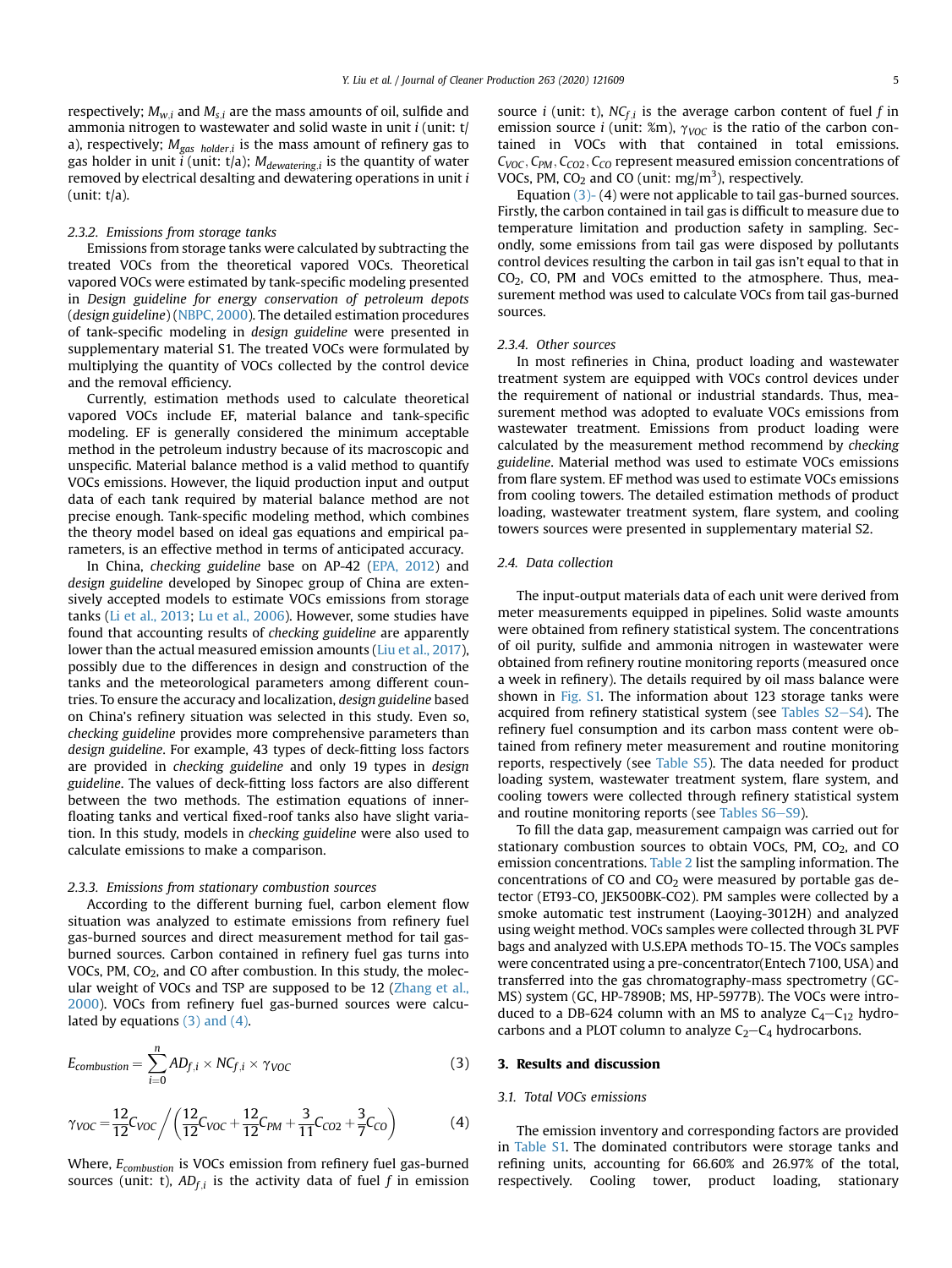respectively;  $M_{w,i}$  and  $M_{s,i}$  are the mass amounts of oil, sulfide and ammonia nitrogen to wastewater and solid waste in unit  $i$  (unit:  $t/$ a), respectively;  $M_{gas~holder,i}$  is the mass amount of refinery gas to gas holder in unit i (unit: t/a);  $M_{devattering,i}$  is the quantity of water removed by electrical desalting and dewatering operations in unit i (unit: t/a).

# 2.3.2. Emissions from storage tanks

Emissions from storage tanks were calculated by subtracting the treated VOCs from the theoretical vapored VOCs. Theoretical vapored VOCs were estimated by tank-specific modeling presented in Design guideline for energy conservation of petroleum depots (design guideline) [\(NBPC, 2000](#page-9-24)). The detailed estimation procedures of tank-specific modeling in design guideline were presented in supplementary material S1. The treated VOCs were formulated by multiplying the quantity of VOCs collected by the control device and the removal efficiency.

Currently, estimation methods used to calculate theoretical vapored VOCs include EF, material balance and tank-specific modeling. EF is generally considered the minimum acceptable method in the petroleum industry because of its macroscopic and unspecific. Material balance method is a valid method to quantify VOCs emissions. However, the liquid production input and output data of each tank required by material balance method are not precise enough. Tank-specific modeling method, which combines the theory model based on ideal gas equations and empirical parameters, is an effective method in terms of anticipated accuracy.

In China, checking guideline base on AP-42 [\(EPA, 2012](#page-9-25)) and design guideline developed by Sinopec group of China are extensively accepted models to estimate VOCs emissions from storage tanks ([Li et al., 2013;](#page-9-26) [Lu et al., 2006](#page-9-27)). However, some studies have found that accounting results of checking guideline are apparently lower than the actual measured emission amounts [\(Liu et al., 2017\)](#page-9-28), possibly due to the differences in design and construction of the tanks and the meteorological parameters among different countries. To ensure the accuracy and localization, design guideline based on China's refinery situation was selected in this study. Even so, checking guideline provides more comprehensive parameters than design guideline. For example, 43 types of deck-fitting loss factors are provided in checking guideline and only 19 types in design guideline. The values of deck-fitting loss factors are also different between the two methods. The estimation equations of innerfloating tanks and vertical fixed-roof tanks also have slight variation. In this study, models in checking guideline were also used to calculate emissions to make a comparison.

#### 2.3.3. Emissions from stationary combustion sources

According to the different burning fuel, carbon element flow situation was analyzed to estimate emissions from refinery fuel gas-burned sources and direct measurement method for tail gasburned sources. Carbon contained in refinery fuel gas turns into VOCs, PM,  $CO<sub>2</sub>$ , and CO after combustion. In this study, the molecular weight of VOCs and TSP are supposed to be 12 ([Zhang et al.,](#page-9-29) [2000](#page-9-29)). VOCs from refinery fuel gas-burned sources were calculated by equations [\(3\) and \(4\)](#page-4-0).

<span id="page-4-0"></span>
$$
E_{combination} = \sum_{i=0}^{n} AD_{f,i} \times NC_{f,i} \times \gamma_{VOC}
$$
 (3)

$$
\gamma_{VOC} = \frac{12}{12}C_{VOC} / \left(\frac{12}{12}C_{VOC} + \frac{12}{12}C_{PM} + \frac{3}{11}C_{CO2} + \frac{3}{7}C_{CO}\right)
$$
(4)

Where,  $E_{combination}$  is VOCs emission from refinery fuel gas-burned sources (unit: t),  $AD_{f,i}$  is the activity data of fuel f in emission source *i* (unit: t),  $NC_{fi}$  is the average carbon content of fuel f in emission source *i* (unit: %m),  $\gamma_{VOC}$  is the ratio of the carbon contained in VOCs with that contained in total emissions.  $C_{VOC}$ ,  $C_{PM}$ ,  $C_{CO2}$ ,  $C_{CO}$  represent measured emission concentrations of VOCs, PM,  $CO<sub>2</sub>$  and CO (unit: mg/m<sup>3</sup>), respectively.

Equation  $(3)$ - $(4)$  were not applicable to tail gas-burned sources. Firstly, the carbon contained in tail gas is difficult to measure due to temperature limitation and production safety in sampling. Secondly, some emissions from tail gas were disposed by pollutants control devices resulting the carbon in tail gas isn't equal to that in CO2, CO, PM and VOCs emitted to the atmosphere. Thus, measurement method was used to calculate VOCs from tail gas-burned sources.

#### 2.3.4. Other sources

In most refineries in China, product loading and wastewater treatment system are equipped with VOCs control devices under the requirement of national or industrial standards. Thus, measurement method was adopted to evaluate VOCs emissions from wastewater treatment. Emissions from product loading were calculated by the measurement method recommend by checking guideline. Material method was used to estimate VOCs emissions from flare system. EF method was used to estimate VOCs emissions from cooling towers. The detailed estimation methods of product loading, wastewater treatment system, flare system, and cooling towers sources were presented in supplementary material S2.

# 2.4. Data collection

The input-output materials data of each unit were derived from meter measurements equipped in pipelines. Solid waste amounts were obtained from refinery statistical system. The concentrations of oil purity, sulfide and ammonia nitrogen in wastewater were obtained from refinery routine monitoring reports (measured once a week in refinery). The details required by oil mass balance were shown in Fig. S1. The information about 123 storage tanks were acquired from refinery statistical system (see Tables  $S2-S4$ ). The refinery fuel consumption and its carbon mass content were obtained from refinery meter measurement and routine monitoring reports, respectively (see Table S5). The data needed for product loading system, wastewater treatment system, flare system, and cooling towers were collected through refinery statistical system and routine monitoring reports (see Tables  $S6- S9$ ).

To fill the data gap, measurement campaign was carried out for stationary combustion sources to obtain VOCs, PM,  $CO<sub>2</sub>$ , and CO emission concentrations. [Table 2](#page-5-0) list the sampling information. The concentrations of CO and  $CO<sub>2</sub>$  were measured by portable gas detector (ET93-CO, JEK500BK-CO2). PM samples were collected by a smoke automatic test instrument (Laoying-3012H) and analyzed using weight method. VOCs samples were collected through 3L PVF bags and analyzed with U.S.EPA methods TO-15. The VOCs samples were concentrated using a pre-concentrator(Entech 7100, USA) and transferred into the gas chromatography-mass spectrometry (GC-MS) system (GC, HP-7890B; MS, HP-5977B). The VOCs were introduced to a DB-624 column with an MS to analyze  $C_4-C_{12}$  hydrocarbons and a PLOT column to analyze  $C_2-C_4$  hydrocarbons.

# 3. Results and discussion

# 3.1. Total VOCs emissions

The emission inventory and corresponding factors are provided in Table S1. The dominated contributors were storage tanks and refining units, accounting for 66.60% and 26.97% of the total, respectively. Cooling tower, product loading, stationary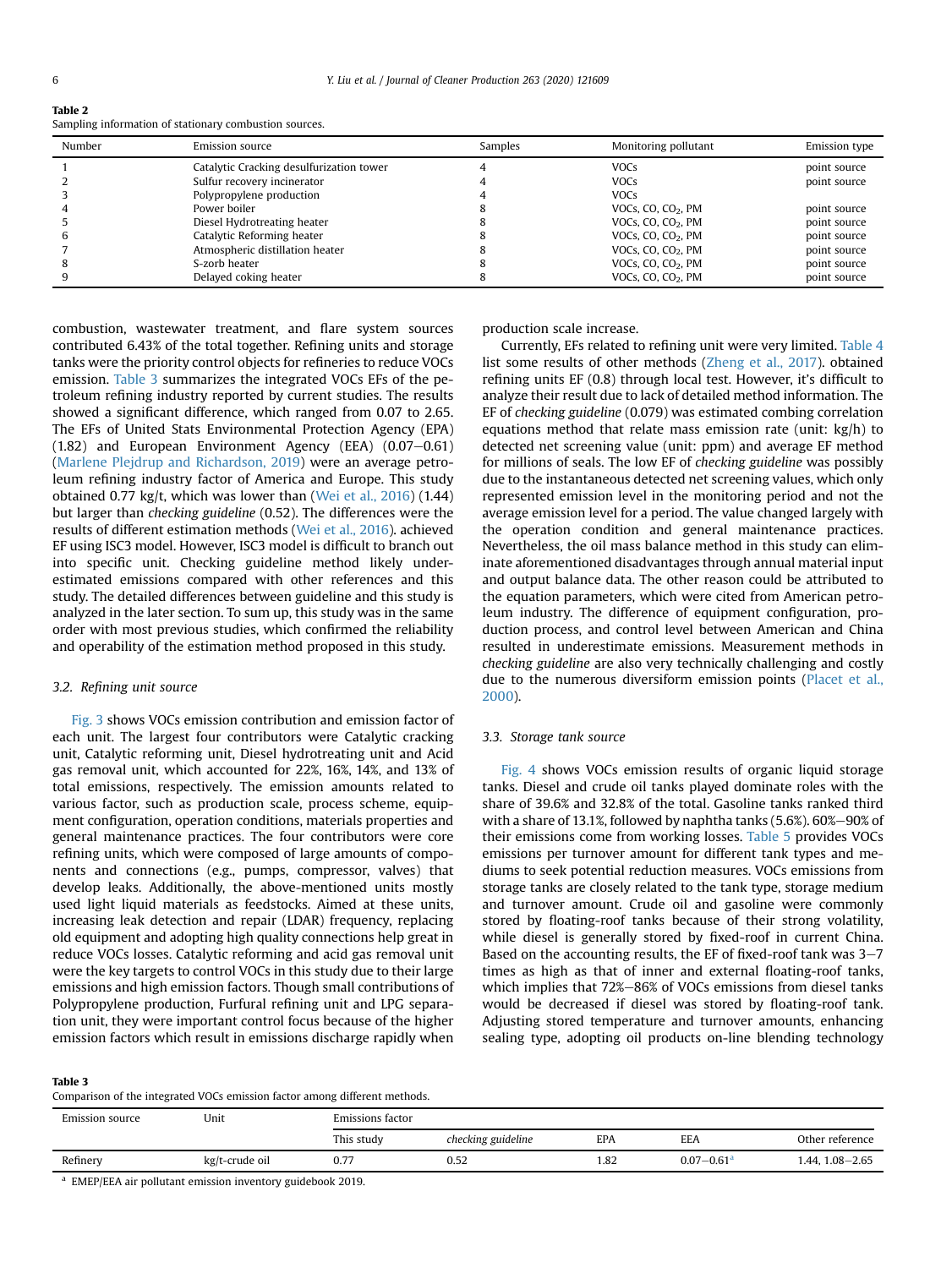<span id="page-5-0"></span>

| Table 2                                                |  |
|--------------------------------------------------------|--|
| Sampling information of stationary combustion sources. |  |

| Number | Emission source                          | Samples | Monitoring pollutant           | Emission type |
|--------|------------------------------------------|---------|--------------------------------|---------------|
|        | Catalytic Cracking desulfurization tower |         | <b>VOCs</b>                    | point source  |
|        | Sulfur recovery incinerator              |         | <b>VOCs</b>                    | point source  |
|        | Polypropylene production                 |         | <b>VOCs</b>                    |               |
|        | Power boiler                             |         | VOCs, CO, $CO2$ , PM           | point source  |
|        | Diesel Hydrotreating heater              |         | VOCs, CO, CO <sub>2</sub> , PM | point source  |
|        | Catalytic Reforming heater               |         | VOCs, CO, $CO2$ , PM           | point source  |
|        | Atmospheric distillation heater          |         | VOCs, CO, $CO2$ , PM           | point source  |
|        | S-zorb heater                            |         | VOCs, CO, $CO2$ , PM           | point source  |
|        | Delayed coking heater                    |         | VOCs, CO, $CO2$ , PM           | point source  |

combustion, wastewater treatment, and flare system sources contributed 6.43% of the total together. Refining units and storage tanks were the priority control objects for refineries to reduce VOCs emission. [Table 3](#page-5-1) summarizes the integrated VOCs EFs of the petroleum refining industry reported by current studies. The results showed a significant difference, which ranged from 0.07 to 2.65. The EFs of United Stats Environmental Protection Agency (EPA)  $(1.82)$  and European Environment Agency (EEA)  $(0.07-0.61)$ ([Marlene Plejdrup and Richardson, 2019\)](#page-9-30) were an average petroleum refining industry factor of America and Europe. This study obtained 0.77 kg/t, which was lower than ([Wei et al., 2016\)](#page-9-8) (1.44) but larger than checking guideline (0.52). The differences were the results of different estimation methods [\(Wei et al., 2016](#page-9-8)). achieved EF using ISC3 model. However, ISC3 model is difficult to branch out into specific unit. Checking guideline method likely underestimated emissions compared with other references and this study. The detailed differences between guideline and this study is analyzed in the later section. To sum up, this study was in the same order with most previous studies, which confirmed the reliability and operability of the estimation method proposed in this study.

#### 3.2. Refining unit source

[Fig. 3](#page-6-0) shows VOCs emission contribution and emission factor of each unit. The largest four contributors were Catalytic cracking unit, Catalytic reforming unit, Diesel hydrotreating unit and Acid gas removal unit, which accounted for 22%, 16%, 14%, and 13% of total emissions, respectively. The emission amounts related to various factor, such as production scale, process scheme, equipment configuration, operation conditions, materials properties and general maintenance practices. The four contributors were core refining units, which were composed of large amounts of components and connections (e.g., pumps, compressor, valves) that develop leaks. Additionally, the above-mentioned units mostly used light liquid materials as feedstocks. Aimed at these units, increasing leak detection and repair (LDAR) frequency, replacing old equipment and adopting high quality connections help great in reduce VOCs losses. Catalytic reforming and acid gas removal unit were the key targets to control VOCs in this study due to their large emissions and high emission factors. Though small contributions of Polypropylene production, Furfural refining unit and LPG separation unit, they were important control focus because of the higher emission factors which result in emissions discharge rapidly when production scale increase.

Currently, EFs related to refining unit were very limited. [Table 4](#page-6-1) list some results of other methods [\(Zheng et al., 2017](#page-9-19)). obtained refining units EF (0.8) through local test. However, it's difficult to analyze their result due to lack of detailed method information. The EF of checking guideline (0.079) was estimated combing correlation equations method that relate mass emission rate (unit: kg/h) to detected net screening value (unit: ppm) and average EF method for millions of seals. The low EF of checking guideline was possibly due to the instantaneous detected net screening values, which only represented emission level in the monitoring period and not the average emission level for a period. The value changed largely with the operation condition and general maintenance practices. Nevertheless, the oil mass balance method in this study can eliminate aforementioned disadvantages through annual material input and output balance data. The other reason could be attributed to the equation parameters, which were cited from American petroleum industry. The difference of equipment configuration, production process, and control level between American and China resulted in underestimate emissions. Measurement methods in checking guideline are also very technically challenging and costly due to the numerous diversiform emission points ([Placet et al.,](#page-9-31) [2000](#page-9-31)).

# 3.3. Storage tank source

[Fig. 4](#page-6-2) shows VOCs emission results of organic liquid storage tanks. Diesel and crude oil tanks played dominate roles with the share of 39.6% and 32.8% of the total. Gasoline tanks ranked third with a share of 13.1%, followed by naphtha tanks  $(5.6%)$ .  $60% - 90%$  of their emissions come from working losses. [Table 5](#page-7-0) provides VOCs emissions per turnover amount for different tank types and mediums to seek potential reduction measures. VOCs emissions from storage tanks are closely related to the tank type, storage medium and turnover amount. Crude oil and gasoline were commonly stored by floating-roof tanks because of their strong volatility, while diesel is generally stored by fixed-roof in current China. Based on the accounting results, the EF of fixed-roof tank was  $3-7$ times as high as that of inner and external floating-roof tanks, which implies that 72%-86% of VOCs emissions from diesel tanks would be decreased if diesel was stored by floating-roof tank. Adjusting stored temperature and turnover amounts, enhancing sealing type, adopting oil products on-line blending technology

#### <span id="page-5-1"></span>Table 3

Comparison of the integrated VOCs emission factor among different methods.

| Emission source | Unit                                                                                                                                                                                                                                                                                           | Emissions factor |                    |      |                            |                     |
|-----------------|------------------------------------------------------------------------------------------------------------------------------------------------------------------------------------------------------------------------------------------------------------------------------------------------|------------------|--------------------|------|----------------------------|---------------------|
|                 |                                                                                                                                                                                                                                                                                                | This study       | checking guideline | EPA  | EEA                        | Other reference     |
| Refinery        | kg/t-crude oil                                                                                                                                                                                                                                                                                 | 0.77             | 0.52               | 1.82 | $0.07 - 0.61$ <sup>a</sup> | $1.44, 1.08 - 2.65$ |
|                 | $\frac{1}{2}$ music heat $\frac{1}{2}$ is the set of $\frac{1}{2}$ in $\frac{1}{2}$ in $\frac{1}{2}$ in $\frac{1}{2}$ in $\frac{1}{2}$ in $\frac{1}{2}$ in $\frac{1}{2}$ in $\frac{1}{2}$ in $\frac{1}{2}$ in $\frac{1}{2}$ in $\frac{1}{2}$ in $\frac{1}{2}$ in $\frac{1}{2}$ in $\frac{1}{2$ |                  |                    |      |                            |                     |

<span id="page-5-2"></span>EMEP/EEA air pollutant emission inventory guidebook 2019.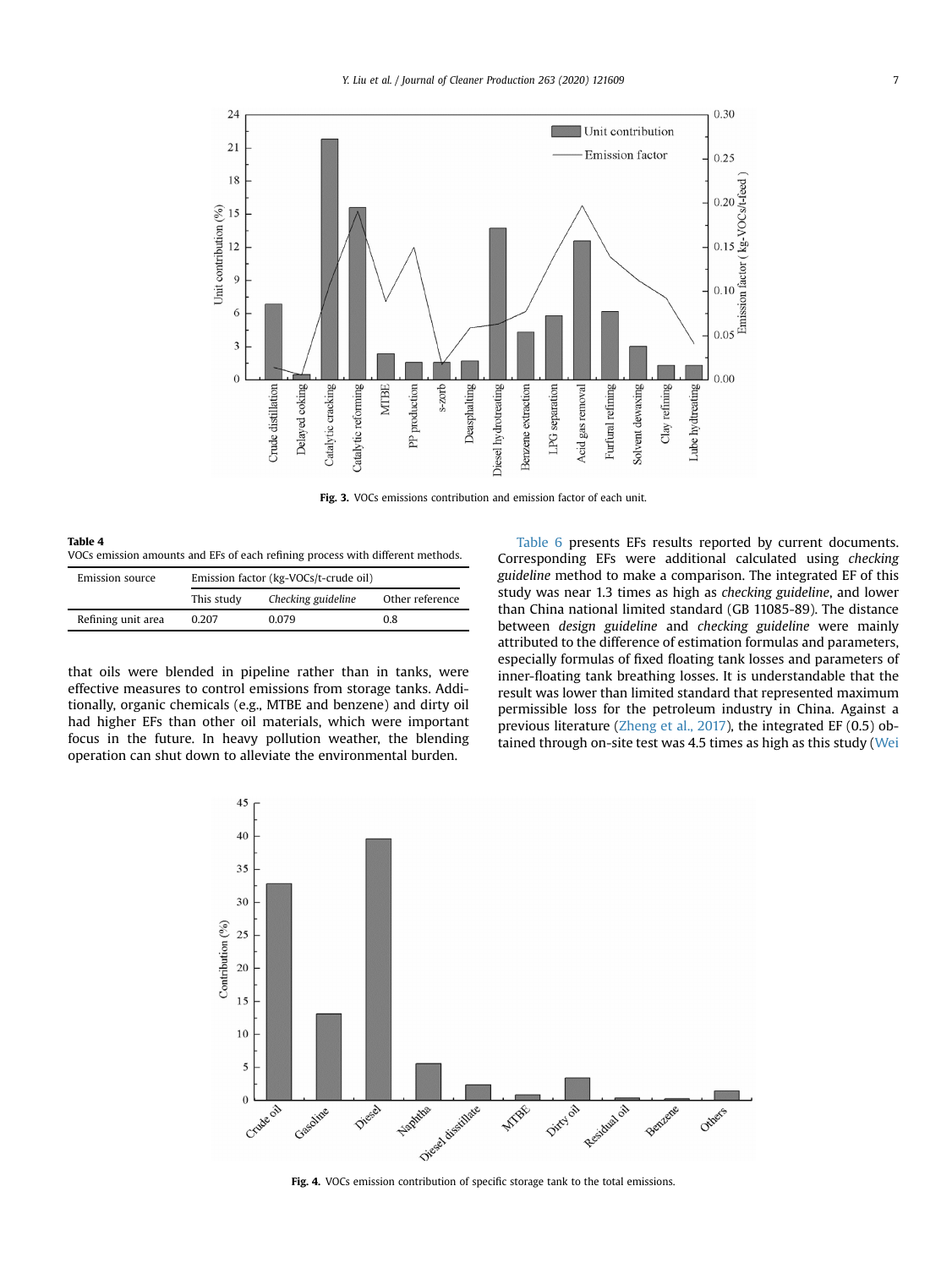<span id="page-6-0"></span>

Fig. 3. VOCs emissions contribution and emission factor of each unit.

<span id="page-6-1"></span>Table 4 VOCs emission amounts and EFs of each refining process with different methods.

| Emission source    | Emission factor (kg-VOCs/t-crude oil) |                    |                 |  |
|--------------------|---------------------------------------|--------------------|-----------------|--|
|                    | This study                            | Checking guideline | Other reference |  |
| Refining unit area | 0.207                                 | 0.079              | 0.8             |  |

<span id="page-6-2"></span>that oils were blended in pipeline rather than in tanks, were effective measures to control emissions from storage tanks. Additionally, organic chemicals (e.g., MTBE and benzene) and dirty oil had higher EFs than other oil materials, which were important focus in the future. In heavy pollution weather, the blending operation can shut down to alleviate the environmental burden.

[Table 6](#page-7-1) presents EFs results reported by current documents. Corresponding EFs were additional calculated using checking guideline method to make a comparison. The integrated EF of this study was near 1.3 times as high as checking guideline, and lower than China national limited standard (GB 11085-89). The distance between design guideline and checking guideline were mainly attributed to the difference of estimation formulas and parameters, especially formulas of fixed floating tank losses and parameters of inner-floating tank breathing losses. It is understandable that the result was lower than limited standard that represented maximum permissible loss for the petroleum industry in China. Against a previous literature [\(Zheng et al., 2017](#page-9-19)), the integrated EF (0.5) ob-tained through on-site test was 4.5 times as high as this study ([Wei](#page-9-21)



Fig. 4. VOCs emission contribution of specific storage tank to the total emissions.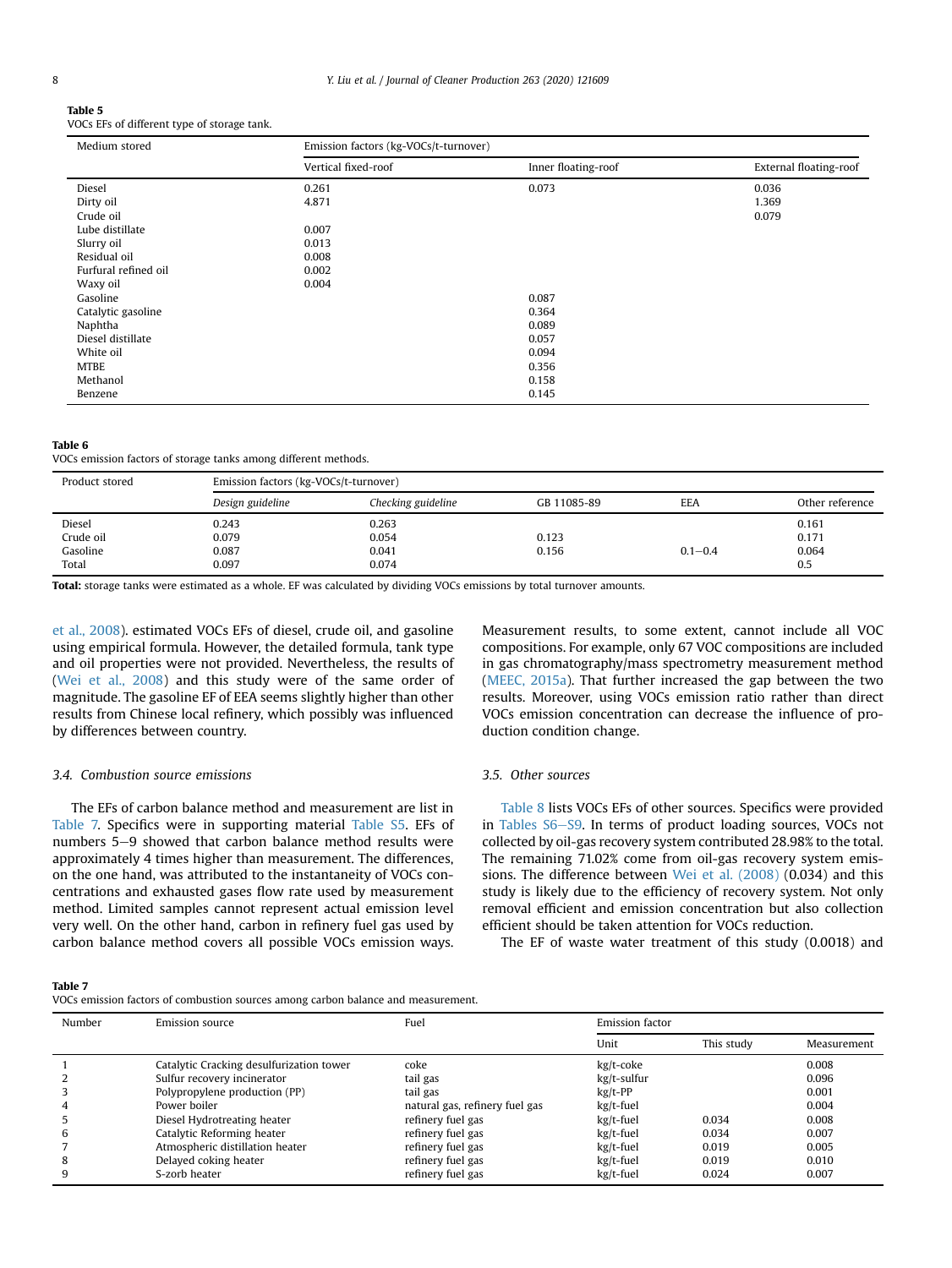<span id="page-7-0"></span>

|--|

VOCs EFs of different type of storage tank.

| Medium stored        | Emission factors (kg-VOCs/t-turnover) |                     |                        |
|----------------------|---------------------------------------|---------------------|------------------------|
|                      | Vertical fixed-roof                   | Inner floating-roof | External floating-roof |
| Diesel               | 0.261                                 | 0.073               | 0.036                  |
| Dirty oil            | 4.871                                 |                     | 1.369                  |
| Crude oil            |                                       |                     | 0.079                  |
| Lube distillate      | 0.007                                 |                     |                        |
| Slurry oil           | 0.013                                 |                     |                        |
| Residual oil         | 0.008                                 |                     |                        |
| Furfural refined oil | 0.002                                 |                     |                        |
| Waxy oil             | 0.004                                 |                     |                        |
| Gasoline             |                                       | 0.087               |                        |
| Catalytic gasoline   |                                       | 0.364               |                        |
| Naphtha              |                                       | 0.089               |                        |
| Diesel distillate    |                                       | 0.057               |                        |
| White oil            |                                       | 0.094               |                        |
| <b>MTBE</b>          |                                       | 0.356               |                        |
| Methanol             |                                       | 0.158               |                        |
| Benzene              |                                       | 0.145               |                        |

#### <span id="page-7-1"></span>Table 6

VOCs emission factors of storage tanks among different methods.

| Product stored | Emission factors (kg-VOCs/t-turnover) |                    |             |             |                 |
|----------------|---------------------------------------|--------------------|-------------|-------------|-----------------|
|                | Design guideline                      | Checking guideline | GB 11085-89 | EEA         | Other reference |
| Diesel         | 0.243                                 | 0.263              |             |             | 0.161           |
| Crude oil      | 0.079                                 | 0.054              | 0.123       |             | 0.171           |
| Gasoline       | 0.087                                 | 0.041              | 0.156       | $0.1 - 0.4$ | 0.064           |
| Total          | 0.097                                 | 0.074              |             |             | 0.5             |

Total: storage tanks were estimated as a whole. EF was calculated by dividing VOCs emissions by total turnover amounts.

[et al., 2008](#page-9-21)). estimated VOCs EFs of diesel, crude oil, and gasoline using empirical formula. However, the detailed formula, tank type and oil properties were not provided. Nevertheless, the results of ([Wei et al., 2008](#page-9-21)) and this study were of the same order of magnitude. The gasoline EF of EEA seems slightly higher than other results from Chinese local refinery, which possibly was influenced by differences between country.

# 3.4. Combustion source emissions

The EFs of carbon balance method and measurement are list in [Table 7.](#page-7-2) Specifics were in supporting material Table S5. EFs of numbers 5-9 showed that carbon balance method results were approximately 4 times higher than measurement. The differences, on the one hand, was attributed to the instantaneity of VOCs concentrations and exhausted gases flow rate used by measurement method. Limited samples cannot represent actual emission level very well. On the other hand, carbon in refinery fuel gas used by carbon balance method covers all possible VOCs emission ways. Measurement results, to some extent, cannot include all VOC compositions. For example, only 67 VOC compositions are included in gas chromatography/mass spectrometry measurement method ([MEEC, 2015a\)](#page-9-32). That further increased the gap between the two results. Moreover, using VOCs emission ratio rather than direct VOCs emission concentration can decrease the influence of production condition change.

# 3.5. Other sources

[Table 8](#page-8-0) lists VOCs EFs of other sources. Specifics were provided in Tables S6–S9. In terms of product loading sources, VOCs not collected by oil-gas recovery system contributed 28.98% to the total. The remaining 71.02% come from oil-gas recovery system emissions. The difference between [Wei et al. \(2008\)](#page-9-21) (0.034) and this study is likely due to the efficiency of recovery system. Not only removal efficient and emission concentration but also collection efficient should be taken attention for VOCs reduction.

The EF of waste water treatment of this study (0.0018) and

<span id="page-7-2"></span>

| VOCs emission factors of combustion sources among carbon balance and measurement. |  |  |  |  |  |
|-----------------------------------------------------------------------------------|--|--|--|--|--|
|                                                                                   |  |  |  |  |  |

| Number | Emission source                          | Fuel                           |             | Emission factor |             |  |
|--------|------------------------------------------|--------------------------------|-------------|-----------------|-------------|--|
|        |                                          |                                | Unit        | This study      | Measurement |  |
|        | Catalytic Cracking desulfurization tower | coke                           | kg/t-coke   |                 | 0.008       |  |
|        | Sulfur recovery incinerator              | tail gas                       | kg/t-sulfur |                 | 0.096       |  |
|        | Polypropylene production (PP)            | tail gas                       | $kg/t-PP$   |                 | 0.001       |  |
|        | Power boiler                             | natural gas, refinery fuel gas | kg/t-fuel   |                 | 0.004       |  |
|        | Diesel Hydrotreating heater              | refinery fuel gas              | kg/t-fuel   | 0.034           | 0.008       |  |
|        | Catalytic Reforming heater               | refinery fuel gas              | kg/t-fuel   | 0.034           | 0.007       |  |
|        | Atmospheric distillation heater          | refinery fuel gas              | kg/t-fuel   | 0.019           | 0.005       |  |
| 8      | Delayed coking heater                    | refinery fuel gas              | kg/t-fuel   | 0.019           | 0.010       |  |
|        | S-zorb heater                            | refinery fuel gas              | kg/t-fuel   | 0.024           | 0.007       |  |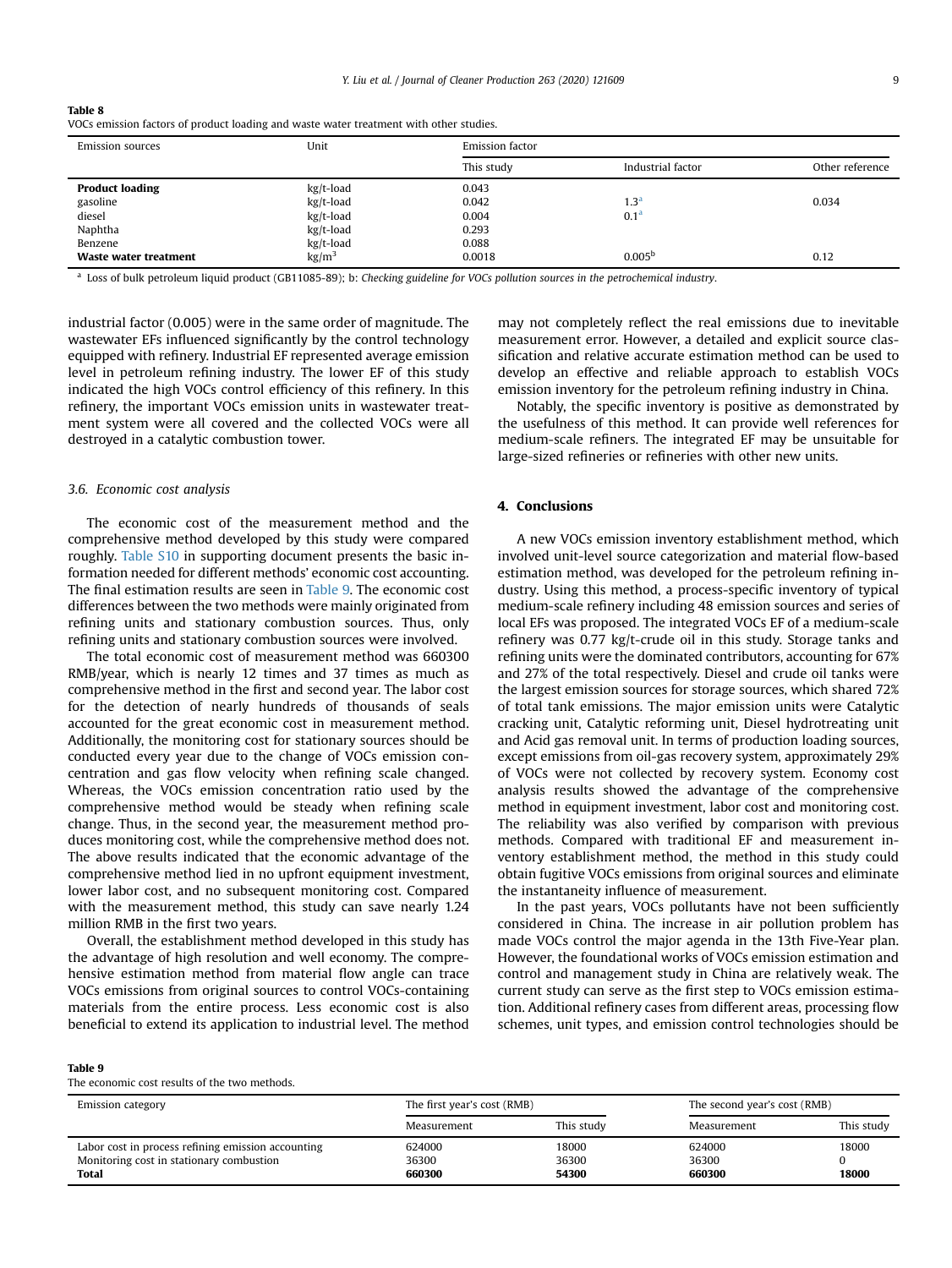<span id="page-8-0"></span>

| . .<br>. . |  |
|------------|--|
|------------|--|

| VOCs emission factors of product loading and waste water treatment with other studies. |  |
|----------------------------------------------------------------------------------------|--|
|----------------------------------------------------------------------------------------|--|

| <b>Emission sources</b> | Unit              | <b>Emission factor</b> |                    |                 |  |
|-------------------------|-------------------|------------------------|--------------------|-----------------|--|
|                         |                   | This study             | Industrial factor  | Other reference |  |
| <b>Product loading</b>  | kg/t-load         | 0.043                  |                    |                 |  |
| gasoline                | kg/t-load         | 0.042                  | 1.3 <sup>a</sup>   | 0.034           |  |
| diesel                  | kg/t-load         | 0.004                  | 0.1 <sup>2</sup>   |                 |  |
| Naphtha                 | kg/t-load         | 0.293                  |                    |                 |  |
| Benzene                 | kg/t-load         | 0.088                  |                    |                 |  |
| Waste water treatment   | kg/m <sup>3</sup> | 0.0018                 | 0.005 <sup>b</sup> | 0.12            |  |

<span id="page-8-2"></span><sup>a</sup> Loss of bulk petroleum liquid product (GB11085-89); b: Checking guideline for VOCs pollution sources in the petrochemical industry.

industrial factor (0.005) were in the same order of magnitude. The wastewater EFs influenced significantly by the control technology equipped with refinery. Industrial EF represented average emission level in petroleum refining industry. The lower EF of this study indicated the high VOCs control efficiency of this refinery. In this refinery, the important VOCs emission units in wastewater treatment system were all covered and the collected VOCs were all destroyed in a catalytic combustion tower.

#### 3.6. Economic cost analysis

The economic cost of the measurement method and the comprehensive method developed by this study were compared roughly. Table S10 in supporting document presents the basic information needed for different methods' economic cost accounting. The final estimation results are seen in [Table 9.](#page-8-1) The economic cost differences between the two methods were mainly originated from refining units and stationary combustion sources. Thus, only refining units and stationary combustion sources were involved.

The total economic cost of measurement method was 660300 RMB/year, which is nearly 12 times and 37 times as much as comprehensive method in the first and second year. The labor cost for the detection of nearly hundreds of thousands of seals accounted for the great economic cost in measurement method. Additionally, the monitoring cost for stationary sources should be conducted every year due to the change of VOCs emission concentration and gas flow velocity when refining scale changed. Whereas, the VOCs emission concentration ratio used by the comprehensive method would be steady when refining scale change. Thus, in the second year, the measurement method produces monitoring cost, while the comprehensive method does not. The above results indicated that the economic advantage of the comprehensive method lied in no upfront equipment investment, lower labor cost, and no subsequent monitoring cost. Compared with the measurement method, this study can save nearly 1.24 million RMB in the first two years.

Overall, the establishment method developed in this study has the advantage of high resolution and well economy. The comprehensive estimation method from material flow angle can trace VOCs emissions from original sources to control VOCs-containing materials from the entire process. Less economic cost is also beneficial to extend its application to industrial level. The method

may not completely reflect the real emissions due to inevitable measurement error. However, a detailed and explicit source classification and relative accurate estimation method can be used to develop an effective and reliable approach to establish VOCs emission inventory for the petroleum refining industry in China.

Notably, the specific inventory is positive as demonstrated by the usefulness of this method. It can provide well references for medium-scale refiners. The integrated EF may be unsuitable for large-sized refineries or refineries with other new units.

# 4. Conclusions

A new VOCs emission inventory establishment method, which involved unit-level source categorization and material flow-based estimation method, was developed for the petroleum refining industry. Using this method, a process-specific inventory of typical medium-scale refinery including 48 emission sources and series of local EFs was proposed. The integrated VOCs EF of a medium-scale refinery was 0.77 kg/t-crude oil in this study. Storage tanks and refining units were the dominated contributors, accounting for 67% and 27% of the total respectively. Diesel and crude oil tanks were the largest emission sources for storage sources, which shared 72% of total tank emissions. The major emission units were Catalytic cracking unit, Catalytic reforming unit, Diesel hydrotreating unit and Acid gas removal unit. In terms of production loading sources, except emissions from oil-gas recovery system, approximately 29% of VOCs were not collected by recovery system. Economy cost analysis results showed the advantage of the comprehensive method in equipment investment, labor cost and monitoring cost. The reliability was also verified by comparison with previous methods. Compared with traditional EF and measurement inventory establishment method, the method in this study could obtain fugitive VOCs emissions from original sources and eliminate the instantaneity influence of measurement.

In the past years, VOCs pollutants have not been sufficiently considered in China. The increase in air pollution problem has made VOCs control the major agenda in the 13th Five-Year plan. However, the foundational works of VOCs emission estimation and control and management study in China are relatively weak. The current study can serve as the first step to VOCs emission estimation. Additional refinery cases from different areas, processing flow schemes, unit types, and emission control technologies should be

#### <span id="page-8-1"></span>Table 9

The economic cost results of the two methods.

| Emission category                                  | The first year's cost (RMB) |            | The second year's cost (RMB) |            |
|----------------------------------------------------|-----------------------------|------------|------------------------------|------------|
|                                                    | Measurement                 | This study | Measurement                  | This study |
| Labor cost in process refining emission accounting | 624000                      | 18000      | 624000                       | 18000      |
| Monitoring cost in stationary combustion           | 36300                       | 36300      | 36300                        |            |
| <b>Total</b>                                       | 660300                      | 54300      | 660300                       | 18000      |